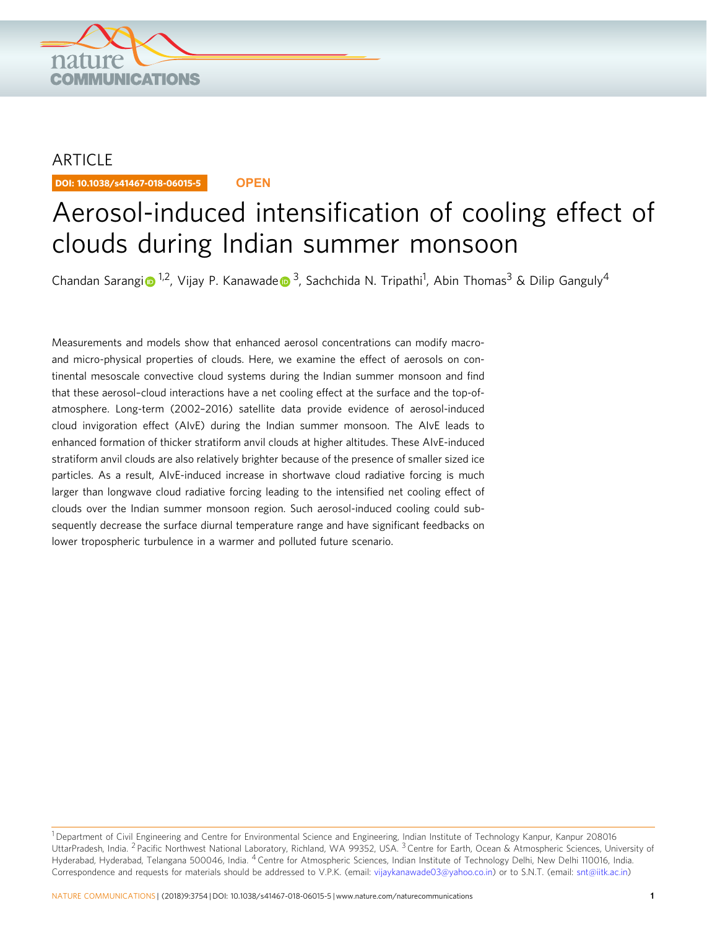

## ARTICLE

DOI: 10.1038/s41467-018-06015-5 **OPEN**

# Aerosol-induced intensification of cooling effect of clouds during Indian summer monsoon

Chandan Sarang[i](http://orcid.org/0000-0002-4850-5118) D<sup>[1](http://orcid.org/0000-0002-4850-5118),2</sup>, Vijay P. Kanawad[e](http://orcid.org/0000-0001-5611-3029) D<sup>3</sup>, Sachchida N. Tripathi<sup>1</sup>, Abin Thomas<sup>3</sup> & Dilip Ganguly<sup>4</sup>

Measurements and models show that enhanced aerosol concentrations can modify macroand micro-physical properties of clouds. Here, we examine the effect of aerosols on continental mesoscale convective cloud systems during the Indian summer monsoon and find that these aerosol–cloud interactions have a net cooling effect at the surface and the top-ofatmosphere. Long-term (2002–2016) satellite data provide evidence of aerosol-induced cloud invigoration effect (AIvE) during the Indian summer monsoon. The AIvE leads to enhanced formation of thicker stratiform anvil clouds at higher altitudes. These AIvE-induced stratiform anvil clouds are also relatively brighter because of the presence of smaller sized ice particles. As a result, AIvE-induced increase in shortwave cloud radiative forcing is much larger than longwave cloud radiative forcing leading to the intensified net cooling effect of clouds over the Indian summer monsoon region. Such aerosol-induced cooling could subsequently decrease the surface diurnal temperature range and have significant feedbacks on lower tropospheric turbulence in a warmer and polluted future scenario.

<sup>&</sup>lt;sup>1</sup> Department of Civil Engineering and Centre for Environmental Science and Engineering, Indian Institute of Technology Kanpur, Kanpur 208016 UttarPradesh, India. <sup>2</sup> Pacific Northwest National Laboratory, Richland, WA 99352, USA. <sup>3</sup> Centre for Earth, Ocean & Atmospheric Sciences, University of Hyderabad, Hyderabad, Telangana 500046, India. <sup>4</sup> Centre for Atmospheric Sciences, Indian Institute of Technology Delhi, New Delhi 110016, India. Correspondence and requests for materials should be addressed to V.P.K. (email: [vijaykanawade03@yahoo.co.in\)](mailto:vijaykanawade03@yahoo.co.in) or to S.N.T. (email: [snt@iitk.ac.in\)](mailto:snt@iitk.ac.in)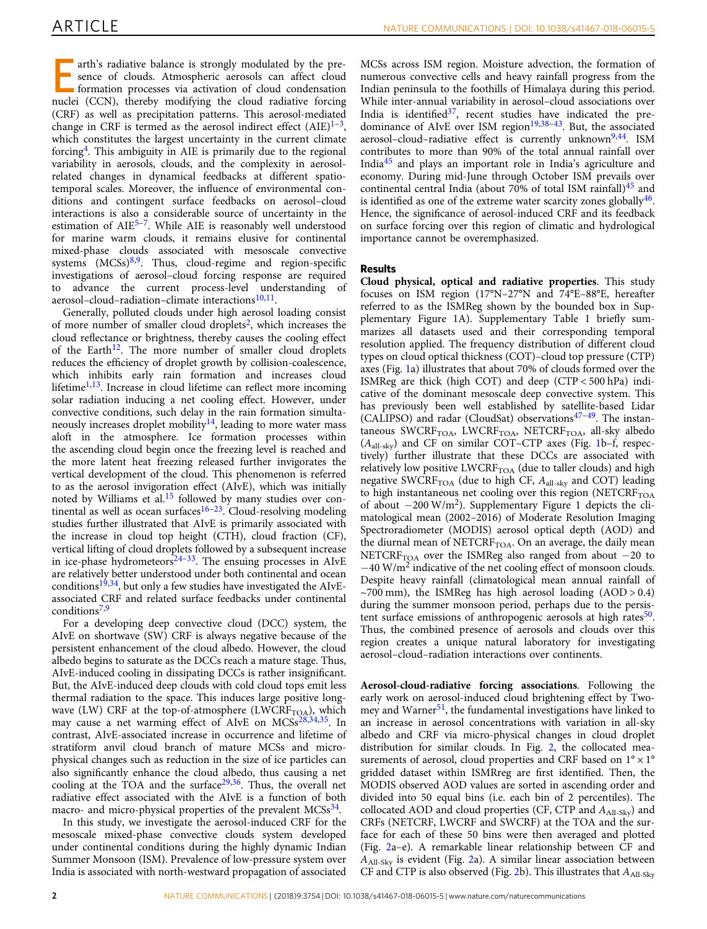E arth's radiative balance is strongly modulated by the presence of clouds. Atmospheric aerosols can affect cloud formation processes via activation of cloud condensation nuclei (CCN), thereby modifying the cloud radiative forcing (CRF) as well as precipitation patterns. This aerosol-mediated change in CRF is termed as the aerosol indirect effect  $(AIE)^{1-3}$  $(AIE)^{1-3}$  $(AIE)^{1-3}$  $(AIE)^{1-3}$  $(AIE)^{1-3}$ , which constitutes the largest uncertainty in the current climate forcing[4](#page-7-0) . This ambiguity in AIE is primarily due to the regional variability in aerosols, clouds, and the complexity in aerosolrelated changes in dynamical feedbacks at different spatiotemporal scales. Moreover, the influence of environmental conditions and contingent surface feedbacks on aerosol–cloud interactions is also a considerable source of uncertainty in the estimation of AIE<sup>[5](#page-7-0)-[7](#page-7-0)</sup>. While AIE is reasonably well understood for marine warm clouds, it remains elusive for continental mixed-phase clouds associated with mesoscale convective systems (MCSs)<sup>[8](#page-7-0),[9](#page-7-0)</sup>. Thus, cloud-regime and region-specific investigations of aerosol–cloud forcing response are required to advance the current process-level understanding of aerosol-cloud-radiation-climate interactions<sup>[10,11](#page-7-0)</sup>.

Generally, polluted clouds under high aerosol loading consist of more number of smaller cloud droplets<sup>[2](#page-7-0)</sup>, which increases the cloud reflectance or brightness, thereby causes the cooling effect of the Earth<sup>[12](#page-7-0)</sup>. The more number of smaller cloud droplets reduces the efficiency of droplet growth by collision-coalescence, which inhibits early rain formation and increases cloud lifetime $1,13$ . Increase in cloud lifetime can reflect more incoming solar radiation inducing a net cooling effect. However, under convective conditions, such delay in the rain formation simulta-neously increases droplet mobility<sup>[14](#page-7-0)</sup>, leading to more water mass aloft in the atmosphere. Ice formation processes within the ascending cloud begin once the freezing level is reached and the more latent heat freezing released further invigorates the vertical development of the cloud. This phenomenon is referred to as the aerosol invigoration effect (AIvE), which was initially noted by Williams et al.<sup>[15](#page-7-0)</sup> followed by many studies over continental as well as ocean surfaces $16-23$  $16-23$  $16-23$ . Cloud-resolving modeling studies further illustrated that AIvE is primarily associated with the increase in cloud top height (CTH), cloud fraction (CF), vertical lifting of cloud droplets followed by a subsequent increase in ice-phase hydrometeors $24-33$  $24-33$  $24-33$ . The ensuing processes in AIvE are relatively better understood under both continental and ocean conditions<sup>[19,34](#page-7-0)</sup>, but only a few studies have investigated the AIvEassociated CRF and related surface feedbacks under continental conditions<sup>[7](#page-7-0),[9](#page-7-0)</sup>

For a developing deep convective cloud (DCC) system, the AIvE on shortwave (SW) CRF is always negative because of the persistent enhancement of the cloud albedo. However, the cloud albedo begins to saturate as the DCCs reach a mature stage. Thus, AIvE-induced cooling in dissipating DCCs is rather insignificant. But, the AIvE-induced deep clouds with cold cloud tops emit less thermal radiation to the space. This induces large positive longwave (LW) CRF at the top-of-atmosphere (LWCRF<sub>TOA</sub>), which may cause a net warming effect of AIvE on MCSs<sup>[28,34,35](#page-7-0)</sup>. In contrast, AIvE-associated increase in occurrence and lifetime of stratiform anvil cloud branch of mature MCSs and microphysical changes such as reduction in the size of ice particles can also significantly enhance the cloud albedo, thus causing a net cooling at the TOA and the surface $29,36$ . Thus, the overall net radiative effect associated with the AIvE is a function of both macro- and micro-physical properties of the prevalent MCSs<sup>[34](#page-7-0)</sup>.

In this study, we investigate the aerosol-induced CRF for the mesoscale mixed-phase convective clouds system developed under continental conditions during the highly dynamic Indian Summer Monsoon (ISM). Prevalence of low-pressure system over India is associated with north-westward propagation of associated MCSs across ISM region. Moisture advection, the formation of numerous convective cells and heavy rainfall progress from the Indian peninsula to the foothills of Himalaya during this period. While inter-annual variability in aerosol–cloud associations over India is identified $3^7$ , recent studies have indicated the pre-dominance of AIvE over ISM region<sup>[19,38](#page-7-0)–[43](#page-7-0)</sup>. But, the associated aerosol–cloud–radiative effect is currently unknown<sup>[9,44](#page-7-0)</sup>. ISM contributes to more than 90% of the total annual rainfall over India<sup>[45](#page-7-0)</sup> and plays an important role in India's agriculture and economy. During mid-June through October ISM prevails over continental central India (about 70% of total ISM rainfall) $45$  and is identified as one of the extreme water scarcity zones globally $46$ . Hence, the significance of aerosol-induced CRF and its feedback on surface forcing over this region of climatic and hydrological importance cannot be overemphasized.

#### Results

Cloud physical, optical and radiative properties. This study focuses on ISM region (17°N–27°N and 74°E–88°E, hereafter referred to as the ISMReg shown by the bounded box in Supplementary Figure 1A). Supplementary Table 1 briefly summarizes all datasets used and their corresponding temporal resolution applied. The frequency distribution of different cloud types on cloud optical thickness (COT)–cloud top pressure (CTP) axes (Fig. [1](#page-2-0)a) illustrates that about 70% of clouds formed over the ISMReg are thick (high COT) and deep (CTP < 500 hPa) indicative of the dominant mesoscale deep convective system. This has previously been well established by satellite-based Lidar (CALIPSO) and radar (CloudSat) observations $47-49$  $47-49$  $47-49$ . The instantaneous SWCRF<sub>TOA</sub>, LWCRF<sub>TOA</sub>, NETCRF<sub>TOA</sub>, all-sky albedo (*A*all-sky) and CF on similar COT–CTP axes (Fig. [1](#page-2-0)b–f, respectively) further illustrate that these DCCs are associated with relatively low positive  $LWCRF<sub>TOA</sub>$  (due to taller clouds) and high negative SWCRF<sub>TOA</sub> (due to high CF,  $A_{all-sky}$  and COT) leading to high instantaneous net cooling over this region (NETCRF $_{\text{TOA}}$ of about −200 W/m<sup>2</sup> ). Supplementary Figure 1 depicts the climatological mean (2002–2016) of Moderate Resolution Imaging Spectroradiometer (MODIS) aerosol optical depth (AOD) and the diurnal mean of NETCRF<sub>TOA</sub>. On an average, the daily mean NETCRF<sub>TOA</sub> over the ISMReg also ranged from about  $-20$  to −40 W/m<sup>2</sup> indicative of the net cooling effect of monsoon clouds. Despite heavy rainfall (climatological mean annual rainfall of  $\sim$ 700 mm), the ISMReg has high aerosol loading (AOD > 0.4) during the summer monsoon period, perhaps due to the persis-tent surface emissions of anthropogenic aerosols at high rates<sup>[50](#page-8-0)</sup>. Thus, the combined presence of aerosols and clouds over this region creates a unique natural laboratory for investigating aerosol–cloud–radiation interactions over continents.

Aerosol-cloud-radiative forcing associations. Following the early work on aerosol-induced cloud brightening effect by Twomey and Warner $51$ , the fundamental investigations have linked to an increase in aerosol concentrations with variation in all-sky albedo and CRF via micro-physical changes in cloud droplet distribution for similar clouds. In Fig. [2](#page-2-0), the collocated measurements of aerosol, cloud properties and CRF based on  $1^{\circ} \times 1^{\circ}$ gridded dataset within ISMRreg are first identified. Then, the MODIS observed AOD values are sorted in ascending order and divided into 50 equal bins (i.e. each bin of 2 percentiles). The collocated AOD and cloud properties (CF, CTP and  $A_{\text{All-Skv}}$ ) and CRFs (NETCRF, LWCRF and SWCRF) at the TOA and the surface for each of these 50 bins were then averaged and plotted (Fig. [2a](#page-2-0)–e). A remarkable linear relationship between CF and *A*All-Sky is evident (Fig. [2](#page-2-0)a). A similar linear association between CF and CTP is also observed (Fig. [2b](#page-2-0)). This illustrates that  $A_{\text{All-Skv}}$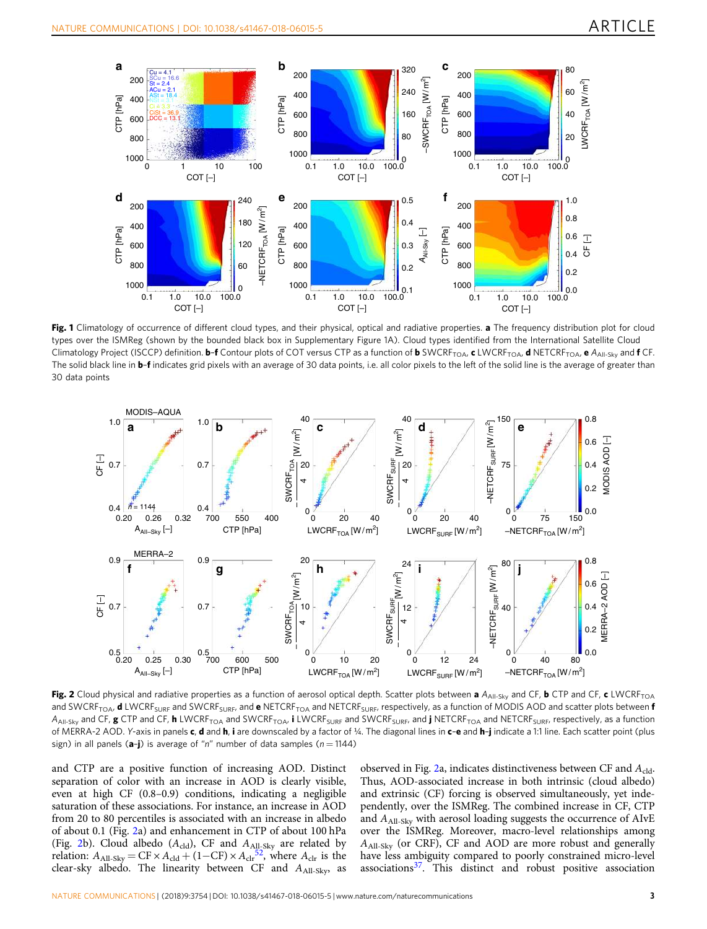<span id="page-2-0"></span>

Fig. 1 Climatology of occurrence of different cloud types, and their physical, optical and radiative properties. a The frequency distribution plot for cloud types over the ISMReg (shown by the bounded black box in Supplementary Figure 1A). Cloud types identified from the International Satellite Cloud Climatology Project (ISCCP) definition. **b–f** Contour plots of COT versus CTP as a function of **b** SWCRF<sub>TOA</sub>, **c** LWCRF<sub>TOA</sub>, **d** NETCRF<sub>TOA</sub>, **e** A<sub>All-Sky and **f** CF.</sub> The solid black line in **b-f** indicates grid pixels with an average of 30 data points, i.e. all color pixels to the left of the solid line is the average of greater than 30 data points



Fig. 2 Cloud physical and radiative properties as a function of aerosol optical depth. Scatter plots between a  $A_{All-Sky}$  and CF, b CTP and CF, c LWCRF<sub>TOA</sub> and SWCRF<sub>TOA</sub>, **d** LWCRF<sub>SURF</sub> and SWCRF<sub>SURF</sub>, and e NETCRF<sub>TOA</sub> and NETCRF<sub>SURF</sub>, respectively, as a function of MODIS AOD and scatter plots between **f** A<sub>All-Sky</sub> and CF, g CTP and CF, h LWCRF<sub>TOA</sub> and SWCRF<sub>TOA</sub>, i LWCRF<sub>SURF</sub> and SWCRF<sub>SURF</sub>, and j NETCRF<sub>TOA</sub> and NETCRF<sub>SURF</sub>, respectively, as a function of MERRA-2 AOD. Y-axis in panels c, d and h, i are downscaled by a factor of ¼. The diagonal lines in c-e and h-j indicate a 1:1 line. Each scatter point (plus sign) in all panels ( $a-j$ ) is average of "n" number of data samples ( $n = 1144$ )

and CTP are a positive function of increasing AOD. Distinct separation of color with an increase in AOD is clearly visible, even at high CF (0.8–0.9) conditions, indicating a negligible saturation of these associations. For instance, an increase in AOD from 20 to 80 percentiles is associated with an increase in albedo of about 0.1 (Fig. 2a) and enhancement in CTP of about 100 hPa (Fig. 2b). Cloud albedo  $(A_{\text{cld}})$ , CF and  $A_{\text{All-Sky}}$  are related by relation:  $A_{\text{All-Sky}} = \text{CF} \times A_{\text{cld}} + (1-\text{CF}) \times A_{\text{clr}}^{\frac{52}{52}}$  $A_{\text{All-Sky}} = \text{CF} \times A_{\text{cld}} + (1-\text{CF}) \times A_{\text{clr}}^{\frac{52}{52}}$  $A_{\text{All-Sky}} = \text{CF} \times A_{\text{cld}} + (1-\text{CF}) \times A_{\text{clr}}^{\frac{52}{52}}$ , where  $A_{\text{clr}}$  is the clear-sky albedo. The linearity between CF and  $A_{\text{All-Sky}}$ , as

observed in Fig. 2a, indicates distinctiveness between CF and A<sub>cld</sub>. Thus, AOD-associated increase in both intrinsic (cloud albedo) and extrinsic (CF) forcing is observed simultaneously, yet independently, over the ISMReg. The combined increase in CF, CTP and  $A_{\text{All-Sky}}$  with aerosol loading suggests the occurrence of AIvE over the ISMReg. Moreover, macro-level relationships among *A*All-Sky (or CRF), CF and AOD are more robust and generally have less ambiguity compared to poorly constrained micro-level  $associations<sup>37</sup>$  $associations<sup>37</sup>$  $associations<sup>37</sup>$ . This distinct and robust positive association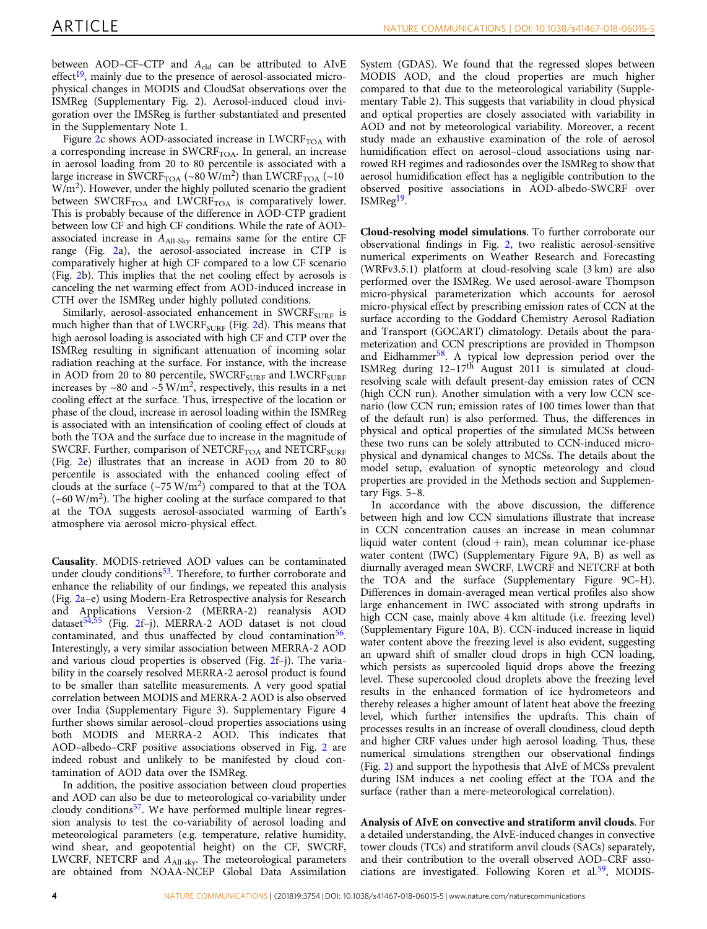between AOD-CF-CTP and A<sub>cld</sub> can be attributed to AIvE  $effect<sup>19</sup>$  $effect<sup>19</sup>$  $effect<sup>19</sup>$ , mainly due to the presence of aerosol-associated microphysical changes in MODIS and CloudSat observations over the ISMReg (Supplementary Fig. 2). Aerosol-induced cloud invigoration over the IMSReg is further substantiated and presented in the Supplementary Note 1.

Figure  $2c$  shows AOD-associated increase in LWCRF<sub>TOA</sub> with a corresponding increase in  $SWCRF<sub>TOA</sub>$ . In general, an increase in aerosol loading from 20 to 80 percentile is associated with a large increase in SWCRF<sub>TOA</sub> (~80 W/m<sup>2</sup>) than LWCRF<sub>TOA</sub> (~10 W/m<sup>2</sup>). However, under the highly polluted scenario the gradient between SWCRF $_{\text{TOA}}$  and LWCRF $_{\text{TOA}}$  is comparatively lower. This is probably because of the difference in AOD-CTP gradient between low CF and high CF conditions. While the rate of AODassociated increase in  $A_{\text{All-Sky}}$  remains same for the entire CF range (Fig. [2a](#page-2-0)), the aerosol-associated increase in CTP is comparatively higher at high CF compared to a low CF scenario (Fig. [2b](#page-2-0)). This implies that the net cooling effect by aerosols is canceling the net warming effect from AOD-induced increase in CTH over the ISMReg under highly polluted conditions.

Similarly, aerosol-associated enhancement in SWCR $F_{\text{SURF}}$  is much higher than that of LWCRF<sub>SURF</sub> (Fig. [2](#page-2-0)d). This means that high aerosol loading is associated with high CF and CTP over the ISMReg resulting in significant attenuation of incoming solar radiation reaching at the surface. For instance, with the increase in AOD from 20 to 80 percentile, SWCRF<sub>SURF</sub> and LWCRF<sub>SURF</sub> increases by ~80 and ~5 W/m<sup>2</sup>, respectively, this results in a net cooling effect at the surface. Thus, irrespective of the location or phase of the cloud, increase in aerosol loading within the ISMReg is associated with an intensification of cooling effect of clouds at both the TOA and the surface due to increase in the magnitude of SWCRF. Further, comparison of  $NETCRF<sub>TOA</sub>$  and  $NETCRF<sub>SURF</sub>$ (Fig. [2](#page-2-0)e) illustrates that an increase in AOD from 20 to 80 percentile is associated with the enhanced cooling effect of clouds at the surface  $({\sim}75 \text{ W/m}^2)$  compared to that at the TOA  $(\sim 60 \text{ W/m}^2)$ . The higher cooling at the surface compared to that at the TOA suggests aerosol-associated warming of Earth's atmosphere via aerosol micro-physical effect.

Causality. MODIS-retrieved AOD values can be contaminated under cloudy conditions<sup>[53](#page-8-0)</sup>. Therefore, to further corroborate and enhance the reliability of our findings, we repeated this analysis (Fig. [2a](#page-2-0)–e) using Modern-Era Retrospective analysis for Research and Applications Version-2 (MERRA-2) reanalysis AOD dataset<sup>[54](#page-8-0),[55](#page-8-0)</sup> (Fig. [2](#page-2-0)f-j). MERRA-2 AOD dataset is not cloud contaminated, and thus unaffected by cloud contamination<sup>[56](#page-8-0)</sup>. Interestingly, a very similar association between MERRA-2 AOD and various cloud properties is observed (Fig. [2](#page-2-0)f–j). The variability in the coarsely resolved MERRA-2 aerosol product is found to be smaller than satellite measurements. A very good spatial correlation between MODIS and MERRA-2 AOD is also observed over India (Supplementary Figure 3). Supplementary Figure 4 further shows similar aerosol–cloud properties associations using both MODIS and MERRA-2 AOD. This indicates that AOD–albedo–CRF positive associations observed in Fig. [2](#page-2-0) are indeed robust and unlikely to be manifested by cloud contamination of AOD data over the ISMReg.

In addition, the positive association between cloud properties and AOD can also be due to meteorological co-variability under cloudy conditions<sup>[57](#page-8-0)</sup>. We have performed multiple linear regression analysis to test the co-variability of aerosol loading and meteorological parameters (e.g. temperature, relative humidity, wind shear, and geopotential height) on the CF, SWCRF, LWCRF, NETCRF and *A*All-sky. The meteorological parameters are obtained from NOAA-NCEP Global Data Assimilation

System (GDAS). We found that the regressed slopes between MODIS AOD, and the cloud properties are much higher compared to that due to the meteorological variability (Supplementary Table 2). This suggests that variability in cloud physical and optical properties are closely associated with variability in AOD and not by meteorological variability. Moreover, a recent study made an exhaustive examination of the role of aerosol humidification effect on aerosol–cloud associations using narrowed RH regimes and radiosondes over the ISMReg to show that aerosol humidification effect has a negligible contribution to the observed positive associations in AOD-albedo-SWCRF over ISMReg<sup>[19](#page-7-0)</sup>.

Cloud-resolving model simulations. To further corroborate our observational findings in Fig. [2,](#page-2-0) two realistic aerosol-sensitive numerical experiments on Weather Research and Forecasting (WRFv3.5.1) platform at cloud-resolving scale (3 km) are also performed over the ISMReg. We used aerosol-aware Thompson micro-physical parameterization which accounts for aerosol micro-physical effect by prescribing emission rates of CCN at the surface according to the Goddard Chemistry Aerosol Radiation and Transport (GOCART) climatology. Details about the parameterization and CCN prescriptions are provided in Thompson and Eidhammer<sup>[58](#page-8-0)</sup>. A typical low depression period over the ISMReg during 12-17<sup>th August 2011</sup> is simulated at cloudresolving scale with default present-day emission rates of CCN (high CCN run). Another simulation with a very low CCN scenario (low CCN run; emission rates of 100 times lower than that of the default run) is also performed. Thus, the differences in physical and optical properties of the simulated MCSs between these two runs can be solely attributed to CCN-induced microphysical and dynamical changes to MCSs. The details about the model setup, evaluation of synoptic meteorology and cloud properties are provided in the Methods section and Supplementary Figs. 5–8.

In accordance with the above discussion, the difference between high and low CCN simulations illustrate that increase in CCN concentration causes an increase in mean columnar liquid water content (cloud  $+$  rain), mean columnar ice-phase water content (IWC) (Supplementary Figure 9A, B) as well as diurnally averaged mean SWCRF, LWCRF and NETCRF at both the TOA and the surface (Supplementary Figure 9C–H). Differences in domain-averaged mean vertical profiles also show large enhancement in IWC associated with strong updrafts in high CCN case, mainly above 4 km altitude (i.e. freezing level) (Supplementary Figure 10A, B). CCN-induced increase in liquid water content above the freezing level is also evident, suggesting an upward shift of smaller cloud drops in high CCN loading, which persists as supercooled liquid drops above the freezing level. These supercooled cloud droplets above the freezing level results in the enhanced formation of ice hydrometeors and thereby releases a higher amount of latent heat above the freezing level, which further intensifies the updrafts. This chain of processes results in an increase of overall cloudiness, cloud depth and higher CRF values under high aerosol loading. Thus, these numerical simulations strengthen our observational findings (Fig. [2](#page-2-0)) and support the hypothesis that AIvE of MCSs prevalent during ISM induces a net cooling effect at the TOA and the surface (rather than a mere-meteorological correlation).

Analysis of AIvE on convective and stratiform anvil clouds. For a detailed understanding, the AIvE-induced changes in convective tower clouds (TCs) and stratiform anvil clouds (SACs) separately, and their contribution to the overall observed AOD–CRF asso-ciations are investigated. Following Koren et al.<sup>[59](#page-8-0)</sup>, MODIS-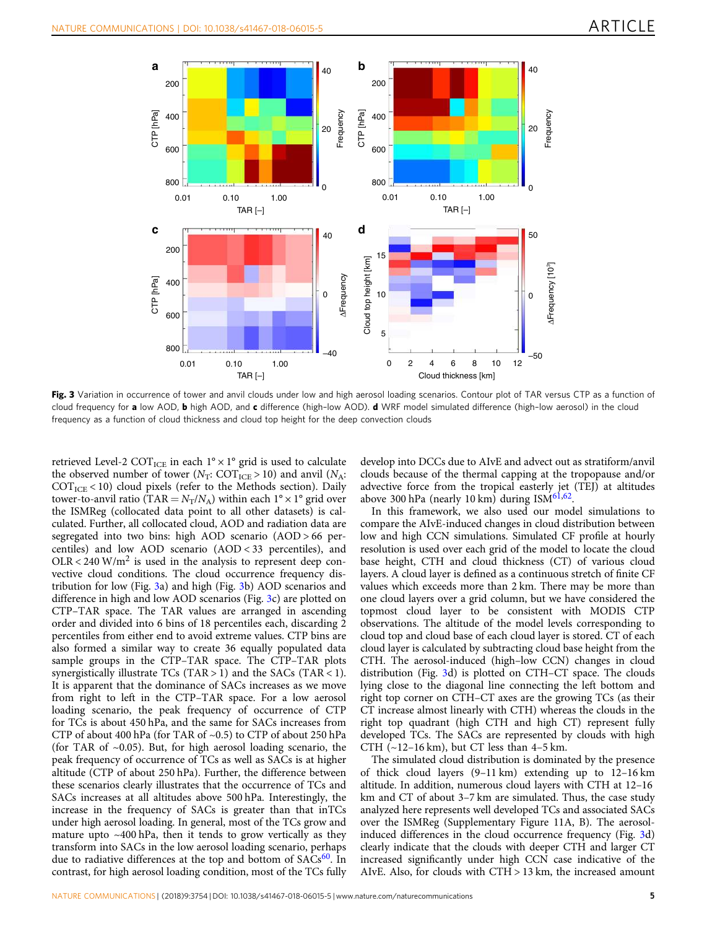

Fig. 3 Variation in occurrence of tower and anvil clouds under low and high aerosol loading scenarios. Contour plot of TAR versus CTP as a function of cloud frequency for a low AOD, b high AOD, and c difference (high-low AOD). d WRF model simulated difference (high-low aerosol) in the cloud frequency as a function of cloud thickness and cloud top height for the deep convection clouds

retrieved Level-2 COT<sub>ICE</sub> in each  $1^{\circ} \times 1^{\circ}$  grid is used to calculate the observed number of tower ( $N_T$ : COT<sub>ICE</sub> > 10) and anvil ( $N_A$ :  $\text{COT}_{\text{ICE}}$  < 10) cloud pixels (refer to the Methods section). Daily tower-to-anvil ratio (TAR =  $N_T/N_A$ ) within each  $1^\circ \times 1^\circ$  grid over the ISMReg (collocated data point to all other datasets) is calculated. Further, all collocated cloud, AOD and radiation data are segregated into two bins: high AOD scenario (AOD > 66 percentiles) and low AOD scenario (AOD < 33 percentiles), and  $OLR < 240$  W/m<sup>2</sup> is used in the analysis to represent deep convective cloud conditions. The cloud occurrence frequency distribution for low (Fig. 3a) and high (Fig. 3b) AOD scenarios and difference in high and low AOD scenarios (Fig. 3c) are plotted on CTP–TAR space. The TAR values are arranged in ascending order and divided into 6 bins of 18 percentiles each, discarding 2 percentiles from either end to avoid extreme values. CTP bins are also formed a similar way to create 36 equally populated data sample groups in the CTP–TAR space. The CTP–TAR plots synergistically illustrate TCs (TAR > 1) and the SACs (TAR < 1). It is apparent that the dominance of SACs increases as we move from right to left in the CTP–TAR space. For a low aerosol loading scenario, the peak frequency of occurrence of CTP for TCs is about 450 hPa, and the same for SACs increases from CTP of about 400 hPa (for TAR of ~0.5) to CTP of about 250 hPa (for TAR of  $~0.05$ ). But, for high aerosol loading scenario, the peak frequency of occurrence of TCs as well as SACs is at higher altitude (CTP of about 250 hPa). Further, the difference between these scenarios clearly illustrates that the occurrence of TCs and SACs increases at all altitudes above 500 hPa. Interestingly, the increase in the frequency of SACs is greater than that inTCs under high aerosol loading. In general, most of the TCs grow and mature upto ~400 hPa, then it tends to grow vertically as they transform into SACs in the low aerosol loading scenario, perhaps due to radiative differences at the top and bottom of SACs<sup>[60](#page-8-0)</sup>. In contrast, for high aerosol loading condition, most of the TCs fully

develop into DCCs due to AIvE and advect out as stratiform/anvil clouds because of the thermal capping at the tropopause and/or advective force from the tropical easterly jet (TEJ) at altitudes above 300 hPa (nearly 10 km) during ISM $61,62$ .

In this framework, we also used our model simulations to compare the AIvE-induced changes in cloud distribution between low and high CCN simulations. Simulated CF profile at hourly resolution is used over each grid of the model to locate the cloud base height, CTH and cloud thickness (CT) of various cloud layers. A cloud layer is defined as a continuous stretch of finite CF values which exceeds more than 2 km. There may be more than one cloud layers over a grid column, but we have considered the topmost cloud layer to be consistent with MODIS CTP observations. The altitude of the model levels corresponding to cloud top and cloud base of each cloud layer is stored. CT of each cloud layer is calculated by subtracting cloud base height from the CTH. The aerosol-induced (high–low CCN) changes in cloud distribution (Fig. 3d) is plotted on CTH–CT space. The clouds lying close to the diagonal line connecting the left bottom and right top corner on CTH–CT axes are the growing TCs (as their CT increase almost linearly with CTH) whereas the clouds in the right top quadrant (high CTH and high CT) represent fully developed TCs. The SACs are represented by clouds with high CTH  $(-12-16 \text{ km})$ , but CT less than  $4-5 \text{ km}$ .

The simulated cloud distribution is dominated by the presence of thick cloud layers (9–11 km) extending up to 12–16 km altitude. In addition, numerous cloud layers with CTH at 12–16 km and CT of about 3–7 km are simulated. Thus, the case study analyzed here represents well developed TCs and associated SACs over the ISMReg (Supplementary Figure 11A, B). The aerosolinduced differences in the cloud occurrence frequency (Fig. 3d) clearly indicate that the clouds with deeper CTH and larger CT increased significantly under high CCN case indicative of the AIvE. Also, for clouds with CTH > 13 km, the increased amount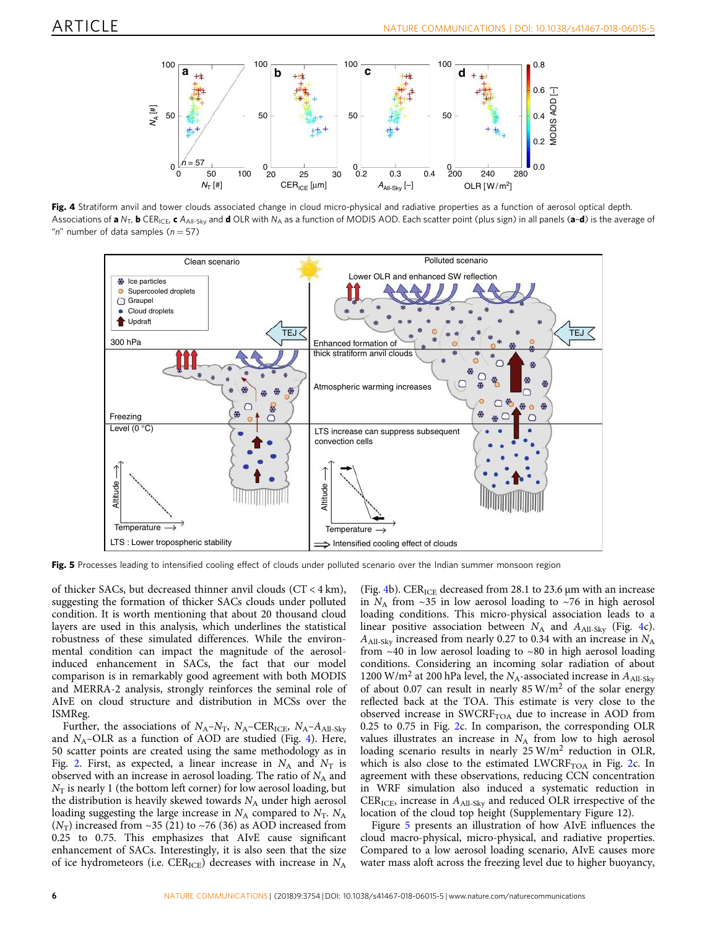<span id="page-5-0"></span>

Fig. 4 Stratiform anvil and tower clouds associated change in cloud micro-physical and radiative properties as a function of aerosol optical depth. Associations of a N<sub>T</sub>, b CER<sub>ICE</sub>, c A<sub>All-Sky</sub> and d OLR with N<sub>A</sub> as a function of MODIS AOD. Each scatter point (plus sign) in all panels (a-d) is the average of "n" number of data samples ( $n = 57$ )



Fig. 5 Processes leading to intensified cooling effect of clouds under polluted scenario over the Indian summer monsoon region

of thicker SACs, but decreased thinner anvil clouds (CT < 4 km), suggesting the formation of thicker SACs clouds under polluted condition. It is worth mentioning that about 20 thousand cloud layers are used in this analysis, which underlines the statistical robustness of these simulated differences. While the environmental condition can impact the magnitude of the aerosolinduced enhancement in SACs, the fact that our model comparison is in remarkably good agreement with both MODIS and MERRA-2 analysis, strongly reinforces the seminal role of AIvE on cloud structure and distribution in MCSs over the ISMReg.

Further, the associations of  $N_A - N_T$ ,  $N_A - CER_{ICE}$ ,  $N_A - A_{All-Sky}$ and *N*<sub>A</sub>–OLR as a function of AOD are studied (Fig. 4). Here, 50 scatter points are created using the same methodology as in Fig. [2.](#page-2-0) First, as expected, a linear increase in  $N_A$  and  $N_T$  is observed with an increase in aerosol loading. The ratio of  $N_A$  and  $N_T$  is nearly 1 (the bottom left corner) for low aerosol loading, but the distribution is heavily skewed towards  $N_A$  under high aerosol loading suggesting the large increase in  $N_A$  compared to  $N_T$ .  $N_A$  $(N_T)$  increased from ~35 (21) to ~76 (36) as AOD increased from 0.25 to 0.75. This emphasizes that AIvE cause significant enhancement of SACs. Interestingly, it is also seen that the size of ice hydrometeors (i.e. CER<sub>ICE</sub>) decreases with increase in  $N_A$ 

(Fig. 4b).  $CER_{ICE}$  decreased from 28.1 to 23.6  $\mu$ m with an increase in  $N_A$  from  $\sim$ 35 in low aerosol loading to  $\sim$ 76 in high aerosol loading conditions. This micro-physical association leads to a linear positive association between  $N_A$  and  $A_{\text{All-Sky}}$  (Fig. 4c). *A*All-Sky increased from nearly 0.27 to 0.34 with an increase in *N*<sup>A</sup> from  $~10$  in low aerosol loading to  $~10$  in high aerosol loading conditions. Considering an incoming solar radiation of about 1200 W/m<sup>2</sup> at 200 hPa level, the  $N_A$ -associated increase in  $A_{\text{All-Skv}}$ of about 0.07 can result in nearly  $85 \text{ W/m}^2$  of the solar energy reflected back at the TOA. This estimate is very close to the observed increase in  $\text{SWCRF}_{\text{TOA}}$  due to increase in AOD from 0.25 to 0.75 in Fig. [2](#page-2-0)c. In comparison, the corresponding OLR values illustrates an increase in  $N_A$  from low to high aerosol loading scenario results in nearly 25 W/m<sup>2</sup> reduction in OLR, which is also close to the estimated  $LWCRF<sub>TOA</sub>$  in Fig. [2](#page-2-0)c. In agreement with these observations, reducing CCN concentration in WRF simulation also induced a systematic reduction in CER<sub>ICE</sub>, increase in  $A_{\text{All-Skv}}$  and reduced OLR irrespective of the location of the cloud top height (Supplementary Figure 12).

Figure 5 presents an illustration of how AIvE influences the cloud macro-physical, micro-physical, and radiative properties. Compared to a low aerosol loading scenario, AIvE causes more water mass aloft across the freezing level due to higher buoyancy,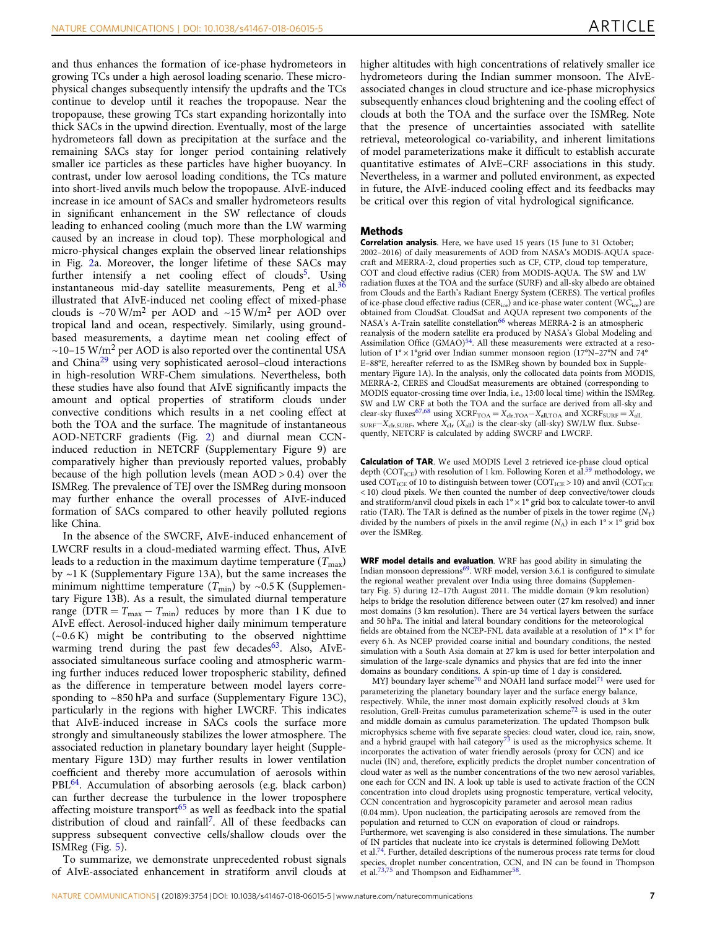and thus enhances the formation of ice-phase hydrometeors in growing TCs under a high aerosol loading scenario. These microphysical changes subsequently intensify the updrafts and the TCs continue to develop until it reaches the tropopause. Near the tropopause, these growing TCs start expanding horizontally into thick SACs in the upwind direction. Eventually, most of the large hydrometeors fall down as precipitation at the surface and the remaining SACs stay for longer period containing relatively smaller ice particles as these particles have higher buoyancy. In contrast, under low aerosol loading conditions, the TCs mature into short-lived anvils much below the tropopause. AIvE-induced increase in ice amount of SACs and smaller hydrometeors results in significant enhancement in the SW reflectance of clouds leading to enhanced cooling (much more than the LW warming caused by an increase in cloud top). These morphological and micro-physical changes explain the observed linear relationships in Fig. [2](#page-2-0)a. Moreover, the longer lifetime of these SACs may further intensify a net cooling effect of clouds<sup>[5](#page-7-0)</sup>. Using instantaneous mid-day satellite measurements, Peng et al. $36$ illustrated that AIvE-induced net cooling effect of mixed-phase clouds is  $\sim$ 70 W/m<sup>2</sup> per AOD and  $\sim$ 15 W/m<sup>2</sup> per AOD over tropical land and ocean, respectively. Similarly, using groundbased measurements, a daytime mean net cooling effect of  $\sim$ 10–15 W/m<sup>2</sup> per AOD is also reported over the continental USA and China[29](#page-7-0) using very sophisticated aerosol–cloud interactions in high-resolution WRF-Chem simulations. Nevertheless, both these studies have also found that AIvE significantly impacts the amount and optical properties of stratiform clouds under convective conditions which results in a net cooling effect at both the TOA and the surface. The magnitude of instantaneous AOD-NETCRF gradients (Fig. [2\)](#page-2-0) and diurnal mean CCNinduced reduction in NETCRF (Supplementary Figure 9) are comparatively higher than previously reported values, probably because of the high pollution levels (mean AOD > 0.4) over the ISMReg. The prevalence of TEJ over the ISMReg during monsoon may further enhance the overall processes of AIvE-induced formation of SACs compared to other heavily polluted regions like China.

In the absence of the SWCRF, AIvE-induced enhancement of LWCRF results in a cloud-mediated warming effect. Thus, AIvE leads to a reduction in the maximum daytime temperature  $(T_{\text{max}})$ by ~1 K (Supplementary Figure 13A), but the same increases the minimum nighttime temperature  $(T_{\text{min}})$  by ~0.5 K (Supplementary Figure 13B). As a result, the simulated diurnal temperature range ( $DTR = T_{max} - T_{min}$ ) reduces by more than 1 K due to AIvE effect. Aerosol-induced higher daily minimum temperature (~0.6 K) might be contributing to the observed nighttime warming trend during the past few decades<sup>[63](#page-8-0)</sup>. Also, AIvEassociated simultaneous surface cooling and atmospheric warming further induces reduced lower tropospheric stability, defined as the difference in temperature between model layers corresponding to ~850 hPa and surface (Supplementary Figure 13C), particularly in the regions with higher LWCRF. This indicates that AIvE-induced increase in SACs cools the surface more strongly and simultaneously stabilizes the lower atmosphere. The associated reduction in planetary boundary layer height (Supplementary Figure 13D) may further results in lower ventilation coefficient and thereby more accumulation of aerosols within PBL<sup>[64](#page-8-0)</sup>. Accumulation of absorbing aerosols (e.g. black carbon) can further decrease the turbulence in the lower troposphere affecting moisture transport $65$  as well as feedback into the spatial distribution of cloud and rainfall<sup>[7](#page-7-0)</sup>. All of these feedbacks can suppress subsequent convective cells/shallow clouds over the ISMReg (Fig. [5\)](#page-5-0).

To summarize, we demonstrate unprecedented robust signals of AIvE-associated enhancement in stratiform anvil clouds at higher altitudes with high concentrations of relatively smaller ice hydrometeors during the Indian summer monsoon. The AIvEassociated changes in cloud structure and ice-phase microphysics subsequently enhances cloud brightening and the cooling effect of clouds at both the TOA and the surface over the ISMReg. Note that the presence of uncertainties associated with satellite retrieval, meteorological co-variability, and inherent limitations of model parameterizations make it difficult to establish accurate quantitative estimates of AIvE–CRF associations in this study. Nevertheless, in a warmer and polluted environment, as expected in future, the AIvE-induced cooling effect and its feedbacks may be critical over this region of vital hydrological significance.

#### Methods

Correlation analysis. Here, we have used 15 years (15 June to 31 October; 2002–2016) of daily measurements of AOD from NASA's MODIS-AQUA spacecraft and MERRA-2, cloud properties such as CF, CTP, cloud top temperature, COT and cloud effective radius (CER) from MODIS-AQUA. The SW and LW radiation fluxes at the TOA and the surface (SURF) and all-sky albedo are obtained from Clouds and the Earth's Radiant Energy System (CERES). The vertical profiles of ice-phase cloud effective radius (CER<sub>ice</sub>) and ice-phase water content (WC<sub>ice</sub>) are obtained from CloudSat. CloudSat and AQUA represent two components of the NASA's A-Train satellite constellation<sup>[66](#page-8-0)</sup> whereas MERRA-2 is an atmospheric reanalysis of the modern satellite era produced by NASA's Global Modeling and Assimilation Office (GMAO)<sup>[54](#page-8-0)</sup>. All these measurements were extracted at a resolution of 1° × 1°grid over Indian summer monsoon region (17°N–27°N and 74° E–88°E, hereafter referred to as the ISMReg shown by bounded box in Supplementary Figure 1A). In the analysis, only the collocated data points from MODIS, MERRA-2, CERES and CloudSat measurements are obtained (corresponding to MODIS equator-crossing time over India, i.e., 13:00 local time) within the ISMReg. SW and LW CRF at both the TOA and the surface are derived from all-sky and clear-sky fluxes<sup>[67,68](#page-8-0)</sup> using XCRF<sub>TOA</sub> = *X*<sub>clr</sub>,<sub>TOA</sub> − *X*<sub>all,TOA</sub> and XCRF<sub>SURF</sub> = *X*<sub>all,</sub> SURF−*X*clr,SURF, where *X*clr (*X*all) is the clear-sky (all-sky) SW/LW flux. Subsequently, NETCRF is calculated by adding SWCRF and LWCRF.

Calculation of TAR. We used MODIS Level 2 retrieved ice-phase cloud optical depth (COT<sub>ICE</sub>) with resolution of 1 km. Following Koren et al.<sup>[59](#page-8-0)</sup> methodology, we used COT<sub>ICE</sub> of 10 to distinguish between tower (COT<sub>ICE</sub> > 10) and anvil (COT<sub>ICE</sub> < 10) cloud pixels. We then counted the number of deep convective/tower clouds and stratiform/anvil cloud pixels in each 1° × 1° grid box to calculate tower-to anvil ratio (TAR). The TAR is defined as the number of pixels in the tower regime  $(N<sub>T</sub>)$ divided by the numbers of pixels in the anvil regime  $(N_A)$  in each  $1^\circ \times 1^\circ$  grid box over the ISMReg.

WRF model details and evaluation. WRF has good ability in simulating the Indian monsoon depressions<sup>[69](#page-8-0)</sup>. WRF model, version 3.6.1 is configured to simulate the regional weather prevalent over India using three domains (Supplementary Fig. 5) during 12–17th August 2011. The middle domain (9 km resolution) helps to bridge the resolution difference between outer (27 km resolved) and inner most domains (3 km resolution). There are 34 vertical layers between the surface and 50 hPa. The initial and lateral boundary conditions for the meteorological fields are obtained from the NCEP-FNL data available at a resolution of  $1^{\circ} \times 1^{\circ}$  for every 6 h. As NCEP provided coarse initial and boundary conditions, the nested simulation with a South Asia domain at 27 km is used for better interpolation and simulation of the large-scale dynamics and physics that are fed into the inner domains as boundary conditions. A spin-up time of 1 day is considered.

MYJ boundary layer scheme<sup>[70](#page-8-0)</sup> and NOAH land surface model<sup>[71](#page-8-0)</sup> were used for parameterizing the planetary boundary layer and the surface energy balance, respectively. While, the inner most domain explicitly resolved clouds at 3 km resolution, Grell-Freitas cumulus parameterization scheme<sup>[72](#page-8-0)</sup> is used in the outer and middle domain as cumulus parameterization. The updated Thompson bulk microphysics scheme with five separate species: cloud water, cloud ice, rain, snow, and a hybrid graupel with hail category $73$  is used as the microphysics scheme. It incorporates the activation of water friendly aerosols (proxy for CCN) and ice nuclei (IN) and, therefore, explicitly predicts the droplet number concentration of cloud water as well as the number concentrations of the two new aerosol variables, one each for CCN and IN. A look up table is used to activate fraction of the CCN concentration into cloud droplets using prognostic temperature, vertical velocity, CCN concentration and hygroscopicity parameter and aerosol mean radius (0.04 mm). Upon nucleation, the participating aerosols are removed from the population and returned to CCN on evaporation of cloud or raindrops. Furthermore, wet scavenging is also considered in these simulations. The number of IN particles that nucleate into ice crystals is determined following DeMott et al.<sup>[74](#page-8-0)</sup>. Further, detailed descriptions of the numerous process rate terms for cloud species, droplet number concentration, CCN, and IN can be found in Thompson et al.<sup>[73,75](#page-8-0)</sup> and Thompson and Eidhammer<sup>[58](#page-8-0)</sup>.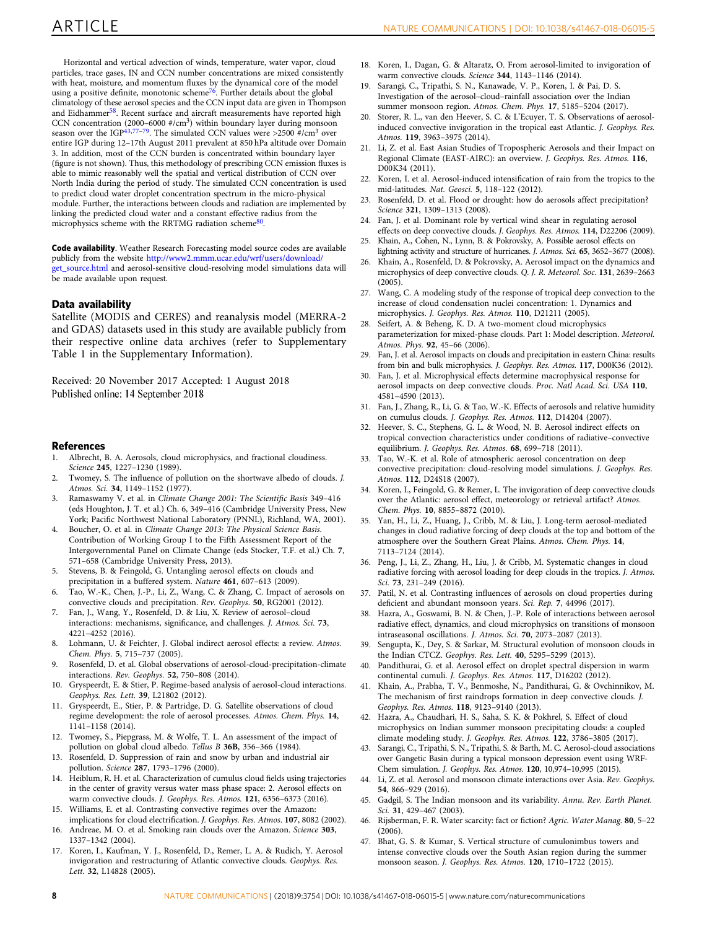<span id="page-7-0"></span>Horizontal and vertical advection of winds, temperature, water vapor, cloud particles, trace gases, IN and CCN number concentrations are mixed consistently with heat, moisture, and momentum fluxes by the dynamical core of the model using a positive definite, monotonic scheme<sup>[76](#page-8-0)</sup>. Further details about the global climatology of these aerosol species and the CCN input data are given in Thompson and Eidhammer<sup>[58](#page-8-0)</sup>. Recent surface and aircraft measurements have reported high CCN concentration (2000–6000 #/cm<sup>3</sup> ) within boundary layer during monsoon season over the IGP<sup>43[,77](#page-8-0)–[79](#page-8-0)</sup>. The simulated CCN values were >2500  $\frac{u}{f}$ /cm<sup>3</sup> over entire IGP during 12–17th August 2011 prevalent at 850 hPa altitude over Domain 3. In addition, most of the CCN burden is concentrated within boundary layer (figure is not shown). Thus, this methodology of prescribing CCN emission fluxes is able to mimic reasonably well the spatial and vertical distribution of CCN over North India during the period of study. The simulated CCN concentration is used to predict cloud water droplet concentration spectrum in the micro-physical module. Further, the interactions between clouds and radiation are implemented by linking the predicted cloud water and a constant effective radius from the microphysics scheme with the RRTMG radiation scheme<sup>[80](#page-8-0)</sup>.

Code availability. Weather Research Forecasting model source codes are available publicly from the website [http://www2.mmm.ucar.edu/wrf/users/download/](http://www2.mmm.ucar.edu/wrf/users/download/get_source.html) [get\\_source.html](http://www2.mmm.ucar.edu/wrf/users/download/get_source.html) and aerosol-sensitive cloud-resolving model simulations data will be made available upon request.

### Data availability

Satellite (MODIS and CERES) and reanalysis model (MERRA-2 and GDAS) datasets used in this study are available publicly from their respective online data archives (refer to Supplementary Table 1 in the Supplementary Information).

Received: 20 November 2017 Accepted: 1 August 2018 Published online: 14 September 2018

#### References

- 1. Albrecht, B. A. Aerosols, cloud microphysics, and fractional cloudiness. *Science* 245, 1227–1230 (1989).
- 2. Twomey, S. The influence of pollution on the shortwave albedo of clouds. *J. Atmos. Sci.* 34, 1149–1152 (1977).
- 3. Ramaswamy V. et al. in *Climate Change 2001: The Scienti*fi*c Basis* 349–416 (eds Houghton, J. T. et al.) Ch. 6, 349–416 (Cambridge University Press, New York; Pacific Northwest National Laboratory (PNNL), Richland, WA, 2001).
- 4. Boucher, O. et al. in *Climate Change 2013: The Physical Science Basis*. Contribution of Working Group I to the Fifth Assessment Report of the Intergovernmental Panel on Climate Change (eds Stocker, T.F. et al.) Ch. 7, 571–658 (Cambridge University Press, 2013).
- 5. Stevens, B. & Feingold, G. Untangling aerosol effects on clouds and precipitation in a buffered system. *Nature* 461, 607–613 (2009).
- 6. Tao, W.-K., Chen, J.-P., Li, Z., Wang, C. & Zhang, C. Impact of aerosols on convective clouds and precipitation. *Rev. Geophys*. 50, RG2001 (2012).
- 7. Fan, J., Wang, Y., Rosenfeld, D. & Liu, X. Review of aerosol–cloud interactions: mechanisms, significance, and challenges. *J. Atmos. Sci.* 73, 4221–4252 (2016).
- 8. Lohmann, U. & Feichter, J. Global indirect aerosol effects: a review. *Atmos. Chem. Phys.* 5, 715–737 (2005).
- 9. Rosenfeld, D. et al. Global observations of aerosol-cloud-precipitation-climate interactions. *Rev. Geophys.* 52, 750–808 (2014).
- 10. Gryspeerdt, E. & Stier, P. Regime-based analysis of aerosol-cloud interactions. *Geophys. Res. Lett.* 39, L21802 (2012).
- 11. Gryspeerdt, E., Stier, P. & Partridge, D. G. Satellite observations of cloud regime development: the role of aerosol processes. *Atmos. Chem. Phys.* 14, 1141–1158 (2014).
- 12. Twomey, S., Piepgrass, M. & Wolfe, T. L. An assessment of the impact of pollution on global cloud albedo. *Tellus B* 36B, 356–366 (1984).
- 13. Rosenfeld, D. Suppression of rain and snow by urban and industrial air pollution. *Science* 287, 1793–1796 (2000).
- 14. Heiblum, R. H. et al. Characterization of cumulus cloud fields using trajectories in the center of gravity versus water mass phase space: 2. Aerosol effects on warm convective clouds. *J. Geophys. Res. Atmos.* 121, 6356–6373 (2016).
- 15. Williams, E. et al. Contrasting convective regimes over the Amazon: implications for cloud electrification. *J. Geophys. Res. Atmos*. 107, 8082 (2002).
- 16. Andreae, M. O. et al. Smoking rain clouds over the Amazon. *Science* 303, 1337–1342 (2004).
- 17. Koren, I., Kaufman, Y. J., Rosenfeld, D., Remer, L. A. & Rudich, Y. Aerosol invigoration and restructuring of Atlantic convective clouds. *Geophys. Res. Lett.* 32, L14828 (2005).
- 18. Koren, I., Dagan, G. & Altaratz, O. From aerosol-limited to invigoration of warm convective clouds. *Science* 344, 1143–1146 (2014).
- 19. Sarangi, C., Tripathi, S. N., Kanawade, V. P., Koren, I. & Pai, D. S. Investigation of the aerosol–cloud–rainfall association over the Indian summer monsoon region. *Atmos. Chem. Phys.* 17, 5185–5204 (2017).
- Storer, R. L., van den Heever, S. C. & L'Ecuyer, T. S. Observations of aerosolinduced convective invigoration in the tropical east Atlantic. *J. Geophys. Res. Atmos.* 119, 3963–3975 (2014).
- 21. Li, Z. et al. East Asian Studies of Tropospheric Aerosols and their Impact on Regional Climate (EAST-AIRC): an overview. *J. Geophys. Res. Atmos.* 116, D00K34 (2011).
- 22. Koren, I. et al. Aerosol-induced intensification of rain from the tropics to the mid-latitudes. *Nat. Geosci.* 5, 118–122 (2012).
- 23. Rosenfeld, D. et al. Flood or drought: how do aerosols affect precipitation? *Science* 321, 1309–1313 (2008).
- 24. Fan, J. et al. Dominant role by vertical wind shear in regulating aerosol effects on deep convective clouds. *J. Geophys. Res. Atmos.* 114, D22206 (2009).
- 25. Khain, A., Cohen, N., Lynn, B. & Pokrovsky, A. Possible aerosol effects on lightning activity and structure of hurricanes. *J. Atmos. Sci.* 65, 3652–3677 (2008).
- 26. Khain, A., Rosenfeld, D. & Pokrovsky, A. Aerosol impact on the dynamics and microphysics of deep convective clouds. *Q. J. R. Meteorol. Soc.* 131, 2639–2663 (2005).
- 27. Wang, C. A modeling study of the response of tropical deep convection to the increase of cloud condensation nuclei concentration: 1. Dynamics and microphysics. *J. Geophys. Res. Atmos.* 110, D21211 (2005).
- 28. Seifert, A. & Beheng, K. D. A two-moment cloud microphysics parameterization for mixed-phase clouds. Part 1: Model description. *Meteorol. Atmos. Phys.* 92, 45–66 (2006).
- 29. Fan, J. et al. Aerosol impacts on clouds and precipitation in eastern China: results from bin and bulk microphysics. *J. Geophys. Res. Atmos*. 117, D00K36 (2012).
- 30. Fan, J. et al. Microphysical effects determine macrophysical response for aerosol impacts on deep convective clouds. *Proc. Natl Acad. Sci. USA* 110, 4581–4590 (2013).
- 31. Fan, J., Zhang, R., Li, G. & Tao, W.-K. Effects of aerosols and relative humidity on cumulus clouds. *J. Geophys. Res. Atmos.* 112, D14204 (2007).
- 32. Heever, S. C., Stephens, G. L. & Wood, N. B. Aerosol indirect effects on tropical convection characteristics under conditions of radiative–convective equilibrium. *J. Geophys. Res. Atmos.* 68, 699–718 (2011).
- 33. Tao, W.-K. et al. Role of atmospheric aerosol concentration on deep convective precipitation: cloud-resolving model simulations. *J. Geophys. Res. Atmos.* 112, D24S18 (2007).
- 34. Koren, I., Feingold, G. & Remer, L. The invigoration of deep convective clouds over the Atlantic: aerosol effect, meteorology or retrieval artifact? *Atmos. Chem. Phys.* 10, 8855–8872 (2010).
- 35. Yan, H., Li, Z., Huang, J., Cribb, M. & Liu, J. Long-term aerosol-mediated changes in cloud radiative forcing of deep clouds at the top and bottom of the atmosphere over the Southern Great Plains. *Atmos. Chem. Phys.* 14, 7113–7124 (2014).
- 36. Peng, J., Li, Z., Zhang, H., Liu, J. & Cribb, M. Systematic changes in cloud radiative forcing with aerosol loading for deep clouds in the tropics. *J. Atmos. Sci.* 73, 231–249 (2016).
- 37. Patil, N. et al. Contrasting influences of aerosols on cloud properties during deficient and abundant monsoon years. *Sci. Rep.* 7, 44996 (2017).
- 38. Hazra, A., Goswami, B. N. & Chen, J.-P. Role of interactions between aerosol radiative effect, dynamics, and cloud microphysics on transitions of monsoon intraseasonal oscillations. *J. Atmos. Sci.* 70, 2073–2087 (2013).
- 39. Sengupta, K., Dey, S. & Sarkar, M. Structural evolution of monsoon clouds in the Indian CTCZ. *Geophys. Res. Lett.* 40, 5295–5299 (2013).
- 40. Pandithurai, G. et al. Aerosol effect on droplet spectral dispersion in warm continental cumuli. *J. Geophys. Res. Atmos.* 117, D16202 (2012).
- 41. Khain, A., Prabha, T. V., Benmoshe, N., Pandithurai, G. & Ovchinnikov, M. The mechanism of first raindrops formation in deep convective clouds. *J. Geophys. Res. Atmos.* 118, 9123–9140 (2013).
- 42. Hazra, A., Chaudhari, H. S., Saha, S. K. & Pokhrel, S. Effect of cloud microphysics on Indian summer monsoon precipitating clouds: a coupled climate modeling study. *J. Geophys. Res. Atmos.* 122, 3786–3805 (2017).
- 43. Sarangi, C., Tripathi, S. N., Tripathi, S. & Barth, M. C. Aerosol-cloud associations over Gangetic Basin during a typical monsoon depression event using WRF-Chem simulation. *J. Geophys. Res. Atmos.* 120, 10,974–10,995 (2015).
- 44. Li, Z. et al. Aerosol and monsoon climate interactions over Asia. *Rev. Geophys.* 54, 866–929 (2016).
- 45. Gadgil, S. The Indian monsoon and its variability. *Annu. Rev. Earth Planet. Sci.* 31, 429–467 (2003).
- 46. Rijsberman, F. R. Water scarcity: fact or fiction? *Agric. Water Manag.* 80, 5–22  $(2006)$
- 47. Bhat, G. S. & Kumar, S. Vertical structure of cumulonimbus towers and intense convective clouds over the South Asian region during the summer monsoon season. *J. Geophys. Res. Atmos.* 120, 1710–1722 (2015).